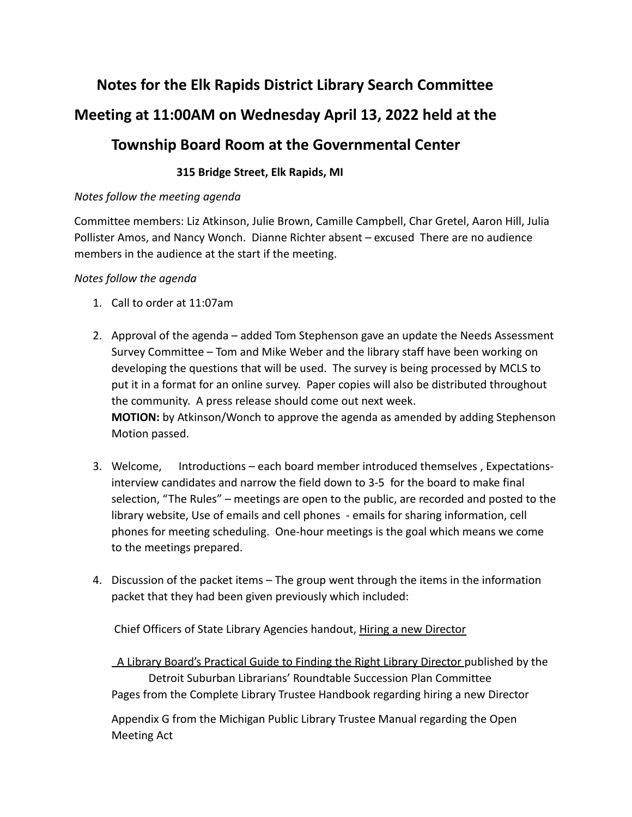## **Notes for the Elk Rapids District Library Search Committee Meeting at 11:00AM on Wednesday April 13, 2022 held at the Township Board Room at the Governmental Center**

## **315 Bridge Street, Elk Rapids, MI**

## *Notes follow the meeting agenda*

Committee members: Liz Atkinson, Julie Brown, Camille Campbell, Char Gretel, Aaron Hill, Julia Pollister Amos, and Nancy Wonch. Dianne Richter absent – excused There are no audience members in the audience at the start if the meeting.

## *Notes follow the agenda*

- 1. Call to order at 11:07am
- 2. Approval of the agenda added Tom Stephenson gave an update the Needs Assessment Survey Committee – Tom and Mike Weber and the library staff have been working on developing the questions that will be used. The survey is being processed by MCLS to put it in a format for an online survey. Paper copies will also be distributed throughout the community. A press release should come out next week. **MOTION:** by Atkinson/Wonch to approve the agenda as amended by adding Stephenson Motion passed.
- 3. Welcome, Introductions each board member introduced themselves , Expectationsinterview candidates and narrow the field down to 3-5 for the board to make final selection, "The Rules" – meetings are open to the public, are recorded and posted to the library website, Use of emails and cell phones - emails for sharing information, cell phones for meeting scheduling. One-hour meetings is the goal which means we come to the meetings prepared.
- 4. Discussion of the packet items The group went through the items in the information packet that they had been given previously which included:

Chief Officers of State Library Agencies handout, Hiring a new Director

A Library Board's Practical Guide to Finding the Right Library Director published by the Detroit Suburban Librarians' Roundtable Succession Plan Committee Pages from the Complete Library Trustee Handbook regarding hiring a new Director

Appendix G from the Michigan Public Library Trustee Manual regarding the Open Meeting Act